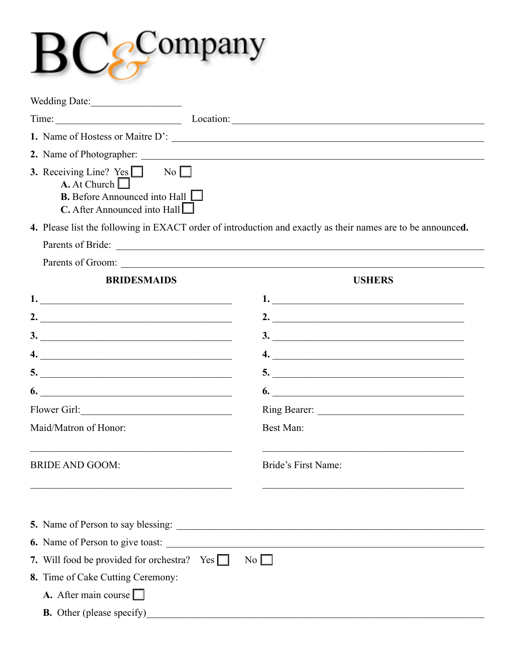## $BCe^{Company}$

|                                                                                                                                                         | Time: Location: Location: Location:                                                                         |
|---------------------------------------------------------------------------------------------------------------------------------------------------------|-------------------------------------------------------------------------------------------------------------|
|                                                                                                                                                         |                                                                                                             |
|                                                                                                                                                         |                                                                                                             |
| <b>3.</b> Receiving Line? Yes $\Box$ No $\Box$<br>A. At Church $\Box$<br><b>B.</b> Before Announced into Hall $\Box$<br>$C$ . After Announced into Hall |                                                                                                             |
|                                                                                                                                                         | 4. Please list the following in EXACT order of introduction and exactly as their names are to be announced. |
|                                                                                                                                                         |                                                                                                             |
|                                                                                                                                                         |                                                                                                             |
| <b>BRIDESMAIDS</b>                                                                                                                                      | <b>USHERS</b>                                                                                               |
| 1.                                                                                                                                                      |                                                                                                             |
| 2. $\overline{\phantom{a}}$                                                                                                                             | 2. $\overline{\phantom{a}}$                                                                                 |
|                                                                                                                                                         | $\frac{3}{2}$                                                                                               |
|                                                                                                                                                         |                                                                                                             |
|                                                                                                                                                         | 5.                                                                                                          |
|                                                                                                                                                         | 6.                                                                                                          |
| Flower Girl:                                                                                                                                            |                                                                                                             |
| Maid/Matron of Honor:                                                                                                                                   | Best Man:                                                                                                   |
| <b>BRIDE AND GOOM:</b>                                                                                                                                  | Bride's First Name:                                                                                         |
|                                                                                                                                                         |                                                                                                             |
| 6. Name of Person to give toast:                                                                                                                        |                                                                                                             |
| 7. Will food be provided for orchestra? Yes $\Box$                                                                                                      | No                                                                                                          |
| 8. Time of Cake Cutting Ceremony:                                                                                                                       |                                                                                                             |
| A. After main course $\Box$                                                                                                                             |                                                                                                             |
| <b>B.</b> Other (please specify)                                                                                                                        |                                                                                                             |